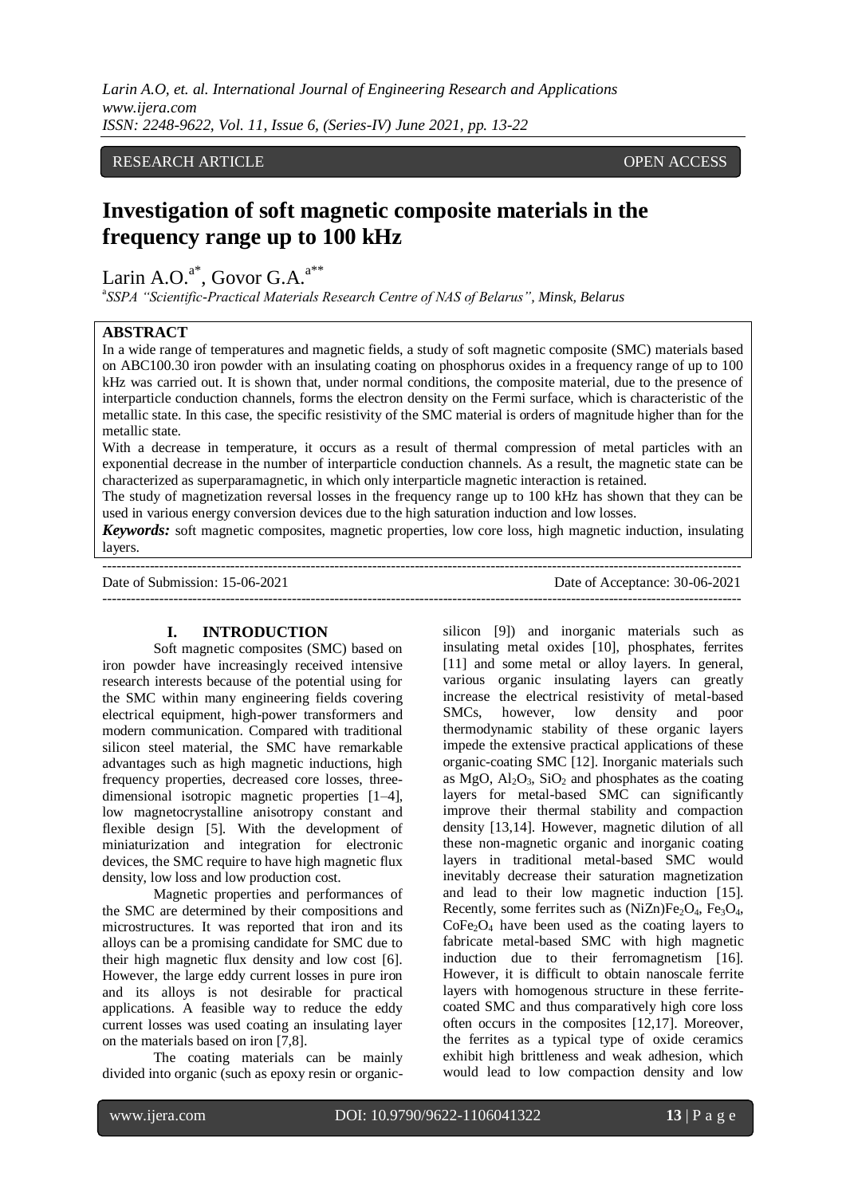#### RESEARCH ARTICLE **OPEN ACCESS**

# **Investigation of soft magnetic composite materials in the frequency range up to 100 kHz**

Larin A.O. $a^*$ , Govor G.A. $a^{**}$ 

a *SSPA "Scientific-Practical Materials Research Centre of NAS of Belarus", Minsk, Belarus*

## **ABSTRACT**

In a wide range of temperatures and magnetic fields, a study of soft magnetic composite (SMC) materials based on ABC100.30 iron powder with an insulating coating on phosphorus oxides in a frequency range of up to 100 kHz was carried out. It is shown that, under normal conditions, the composite material, due to the presence of interparticle conduction channels, forms the electron density on the Fermi surface, which is characteristic of the metallic state. In this case, the specific resistivity of the SMC material is orders of magnitude higher than for the metallic state.

With a decrease in temperature, it occurs as a result of thermal compression of metal particles with an exponential decrease in the number of interparticle conduction channels. As a result, the magnetic state can be characterized as superparamagnetic, in which only interparticle magnetic interaction is retained.

The study of magnetization reversal losses in the frequency range up to 100 kHz has shown that they can be used in various energy conversion devices due to the high saturation induction and low losses.

*Keywords:* soft magnetic composites, magnetic properties, low core loss, high magnetic induction, insulating layers.

---------------------------------------------------------------------------------------------------------------------------------------

---------------------------------------------------------------------------------------------------------------------------------------

Date of Submission: 15-06-2021 Date of Acceptance: 30-06-2021

#### **I. INTRODUCTION**

Soft magnetic composites (SMC) based on iron powder have increasingly received intensive research interests because of the potential using for the SMC within many engineering fields covering electrical equipment, high-power transformers and modern communication. Compared with traditional silicon steel material, the SMC have remarkable advantages such as high magnetic inductions, high frequency properties, decreased core losses, threedimensional isotropic magnetic properties [1–4], low magnetocrystalline anisotropy constant and flexible design [5]. With the development of miniaturization and integration for electronic devices, the SMC require to have high magnetic flux density, low loss and low production cost.

Magnetic properties and performances of the SMC are determined by their compositions and microstructures. It was reported that iron and its alloys can be a promising candidate for SMC due to their high magnetic flux density and low cost [6]. However, the large eddy current losses in pure iron and its alloys is not desirable for practical applications. A feasible way to reduce the eddy current losses was used coating an insulating layer on the materials based on iron [7,8].

The coating materials can be mainly divided into organic (such as epoxy resin or organicsilicon [9]) and inorganic materials such as insulating metal oxides [10], phosphates, ferrites [11] and some metal or alloy layers. In general, various organic insulating layers can greatly increase the electrical resistivity of metal-based SMCs, however, low density and poor thermodynamic stability of these organic layers impede the extensive practical applications of these organic-coating SMC [12]. Inorganic materials such as  $MgO$ ,  $Al_2O_3$ ,  $SiO_2$  and phosphates as the coating layers for metal-based SMC can significantly improve their thermal stability and compaction density [13,14]. However, magnetic dilution of all these non-magnetic organic and inorganic coating layers in traditional metal-based SMC would inevitably decrease their saturation magnetization and lead to their low magnetic induction [15]. Recently, some ferrites such as  $(NiZn)Fe<sub>2</sub>O<sub>4</sub>$ , Fe<sub>3</sub>O<sub>4</sub>,  $CoFe<sub>2</sub>O<sub>4</sub>$  have been used as the coating layers to fabricate metal-based SMC with high magnetic induction due to their ferromagnetism [16]. However, it is difficult to obtain nanoscale ferrite layers with homogenous structure in these ferritecoated SMC and thus comparatively high core loss often occurs in the composites [12,17]. Moreover, the ferrites as a typical type of oxide ceramics exhibit high brittleness and weak adhesion, which would lead to low compaction density and low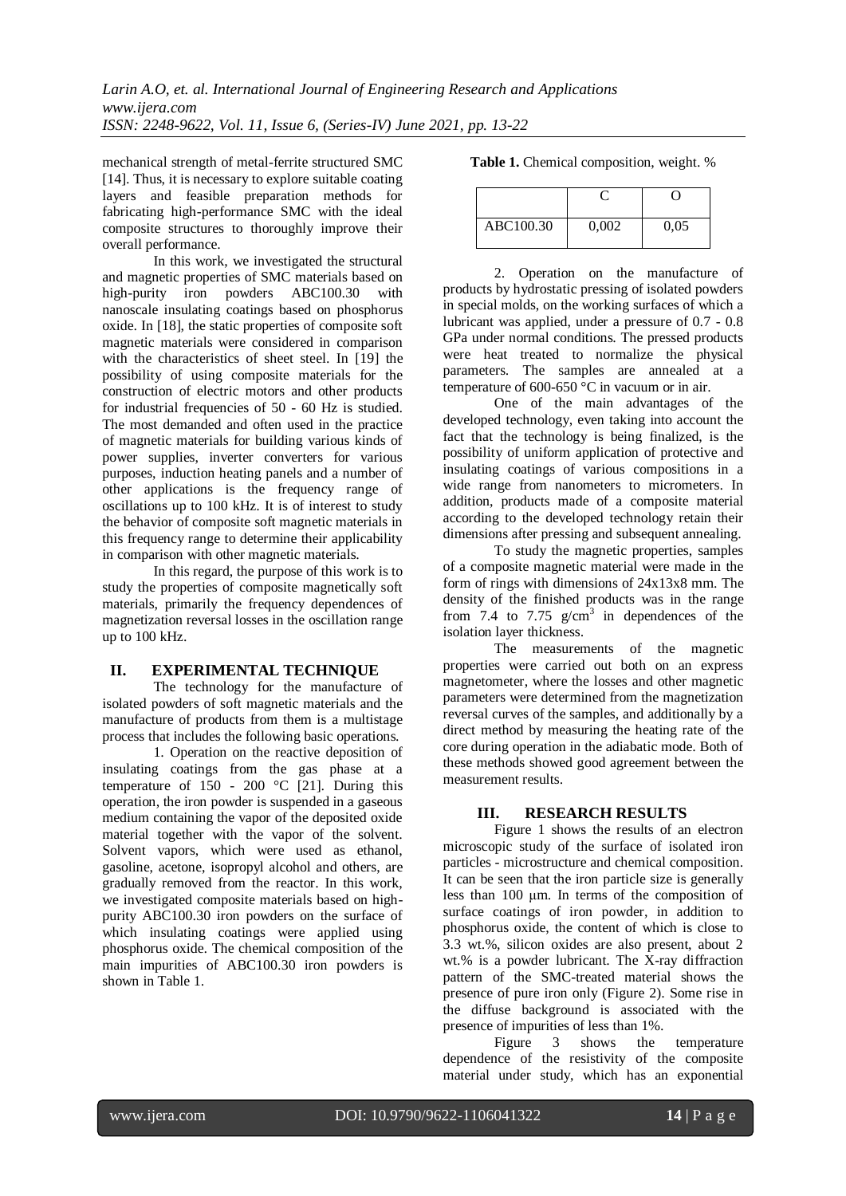mechanical strength of metal-ferrite structured SMC [14]. Thus, it is necessary to explore suitable coating layers and feasible preparation methods for fabricating high-performance SMC with the ideal composite structures to thoroughly improve their overall performance.

In this work, we investigated the structural and magnetic properties of SMC materials based on high-purity iron powders ABC100.30 with nanoscale insulating coatings based on phosphorus oxide. In [18], the static properties of composite soft magnetic materials were considered in comparison with the characteristics of sheet steel. In [19] the possibility of using composite materials for the construction of electric motors and other products for industrial frequencies of 50 - 60 Hz is studied. The most demanded and often used in the practice of magnetic materials for building various kinds of power supplies, inverter converters for various purposes, induction heating panels and a number of other applications is the frequency range of oscillations up to 100 kHz. It is of interest to study the behavior of composite soft magnetic materials in this frequency range to determine their applicability in comparison with other magnetic materials.

In this regard, the purpose of this work is to study the properties of composite magnetically soft materials, primarily the frequency dependences of magnetization reversal losses in the oscillation range up to 100 kHz.

### **II. EXPERIMENTAL TECHNIQUE**

The technology for the manufacture of isolated powders of soft magnetic materials and the manufacture of products from them is a multistage process that includes the following basic operations.

1. Operation on the reactive deposition of insulating coatings from the gas phase at a temperature of  $150 - 200$  °C [21]. During this operation, the iron powder is suspended in a gaseous medium containing the vapor of the deposited oxide material together with the vapor of the solvent. Solvent vapors, which were used as ethanol, gasoline, acetone, isopropyl alcohol and others, are gradually removed from the reactor. In this work, we investigated composite materials based on highpurity ABC100.30 iron powders on the surface of which insulating coatings were applied using phosphorus oxide. The chemical composition of the main impurities of ABC100.30 iron powders is shown in Table 1.

| Table 1. Chemical composition, weight. % |  |  |  |  |  |
|------------------------------------------|--|--|--|--|--|
|------------------------------------------|--|--|--|--|--|

| ABC100.30 | 0,002 | 0.05 |
|-----------|-------|------|

2. Operation on the manufacture of products by hydrostatic pressing of isolated powders in special molds, on the working surfaces of which a lubricant was applied, under a pressure of 0.7 - 0.8 GPa under normal conditions. The pressed products were heat treated to normalize the physical parameters. The samples are annealed at a temperature of 600-650  $\degree$ C in vacuum or in air.

One of the main advantages of the developed technology, even taking into account the fact that the technology is being finalized, is the possibility of uniform application of protective and insulating coatings of various compositions in a wide range from nanometers to micrometers. In addition, products made of a composite material according to the developed technology retain their dimensions after pressing and subsequent annealing.

To study the magnetic properties, samples of a composite magnetic material were made in the form of rings with dimensions of 24x13x8 mm. The density of the finished products was in the range from 7.4 to 7.75  $g/cm<sup>3</sup>$  in dependences of the isolation layer thickness.

The measurements of the magnetic properties were carried out both on an express magnetometer, where the losses and other magnetic parameters were determined from the magnetization reversal curves of the samples, and additionally by a direct method by measuring the heating rate of the core during operation in the adiabatic mode. Both of these methods showed good agreement between the measurement results.

### **III. RESEARCH RESULTS**

Figure 1 shows the results of an electron microscopic study of the surface of isolated iron particles - microstructure and chemical composition. It can be seen that the iron particle size is generally less than 100 μm. In terms of the composition of surface coatings of iron powder, in addition to phosphorus oxide, the content of which is close to 3.3 wt.%, silicon oxides are also present, about 2 wt.% is a powder lubricant. The X-ray diffraction pattern of the SMC-treated material shows the presence of pure iron only (Figure 2). Some rise in the diffuse background is associated with the presence of impurities of less than 1%.

Figure 3 shows the temperature dependence of the resistivity of the composite material under study, which has an exponential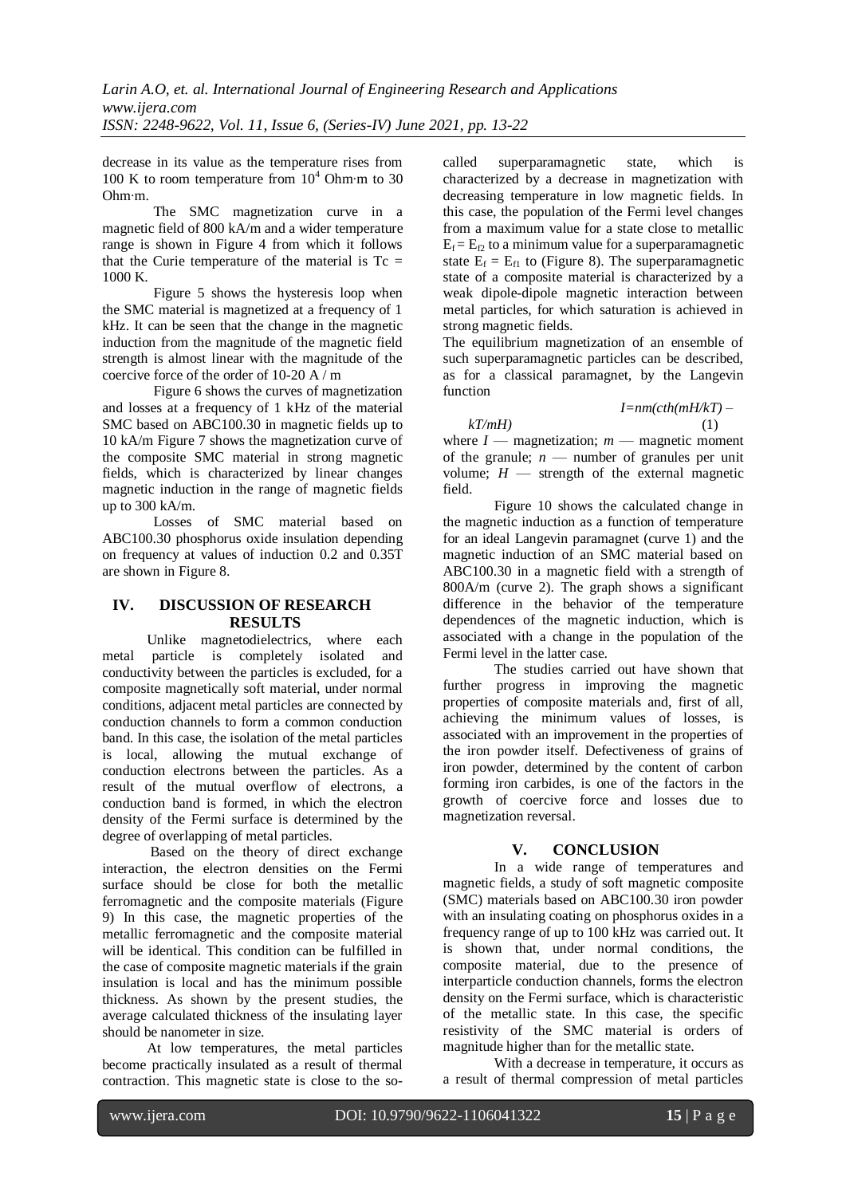decrease in its value as the temperature rises from 100 K to room temperature from  $10^4$  Ohm⋅m to 30 Ohm∙m.

The SMC magnetization curve in a magnetic field of 800 kA/m and a wider temperature range is shown in Figure 4 from which it follows that the Curie temperature of the material is  $T_c$  = 1000 K.

Figure 5 shows the hysteresis loop when the SMC material is magnetized at a frequency of 1 kHz. It can be seen that the change in the magnetic induction from the magnitude of the magnetic field strength is almost linear with the magnitude of the coercive force of the order of 10-20 A / m

Figure 6 shows the curves of magnetization and losses at a frequency of 1 kHz of the material SMC based on ABC100.30 in magnetic fields up to 10 kA/m Figure 7 shows the magnetization curve of the composite SMC material in strong magnetic fields, which is characterized by linear changes magnetic induction in the range of magnetic fields up to 300 kA/m.

Losses of SMC material based on ABC100.30 phosphorus oxide insulation depending on frequency at values of induction 0.2 and 0.35T are shown in Figure 8.

### **IV. DISCUSSION OF RESEARCH RESULTS**

Unlike magnetodielectrics, where each metal particle is completely isolated and conductivity between the particles is excluded, for a composite magnetically soft material, under normal conditions, adjacent metal particles are connected by conduction channels to form a common conduction band. In this case, the isolation of the metal particles is local, allowing the mutual exchange of conduction electrons between the particles. As a result of the mutual overflow of electrons, a conduction band is formed, in which the electron density of the Fermi surface is determined by the degree of overlapping of metal particles.

Based on the theory of direct exchange interaction, the electron densities on the Fermi surface should be close for both the metallic ferromagnetic and the composite materials (Figure 9) In this case, the magnetic properties of the metallic ferromagnetic and the composite material will be identical. This condition can be fulfilled in the case of composite magnetic materials if the grain insulation is local and has the minimum possible thickness. As shown by the present studies, the average calculated thickness of the insulating layer should be nanometer in size.

At low temperatures, the metal particles become practically insulated as a result of thermal contraction. This magnetic state is close to the socalled superparamagnetic state, which is characterized by a decrease in magnetization with decreasing temperature in low magnetic fields. In this case, the population of the Fermi level changes from a maximum value for a state close to metallic  $E_f = E_f$  to a minimum value for a superparamagnetic state  $E_f = E_f$  to (Figure 8). The superparamagnetic state of a composite material is characterized by a weak dipole-dipole magnetic interaction between metal particles, for which saturation is achieved in strong magnetic fields.

The equilibrium magnetization of an ensemble of such superparamagnetic particles can be described, as for a classical paramagnet, by the Langevin function

 *I=nm(cth(mH/kT) – kT/mH)* (1)

where  $I$  — magnetization;  $m$  — magnetic moment of the granule;  $n$  — number of granules per unit volume;  $H$  — strength of the external magnetic field.

Figure 10 shows the calculated change in the magnetic induction as a function of temperature for an ideal Langevin paramagnet (curve 1) and the magnetic induction of an SMC material based on ABC100.30 in a magnetic field with a strength of 800A/m (curve 2). The graph shows a significant difference in the behavior of the temperature dependences of the magnetic induction, which is associated with a change in the population of the Fermi level in the latter case.

The studies carried out have shown that further progress in improving the magnetic properties of composite materials and, first of all, achieving the minimum values of losses, is associated with an improvement in the properties of the iron powder itself. Defectiveness of grains of iron powder, determined by the content of carbon forming iron carbides, is one of the factors in the growth of coercive force and losses due to magnetization reversal.

## **V. CONCLUSION**

In a wide range of temperatures and magnetic fields, a study of soft magnetic composite (SMC) materials based on ABC100.30 iron powder with an insulating coating on phosphorus oxides in a frequency range of up to 100 kHz was carried out. It is shown that, under normal conditions, the composite material, due to the presence of interparticle conduction channels, forms the electron density on the Fermi surface, which is characteristic of the metallic state. In this case, the specific resistivity of the SMC material is orders of magnitude higher than for the metallic state.

With a decrease in temperature, it occurs as a result of thermal compression of metal particles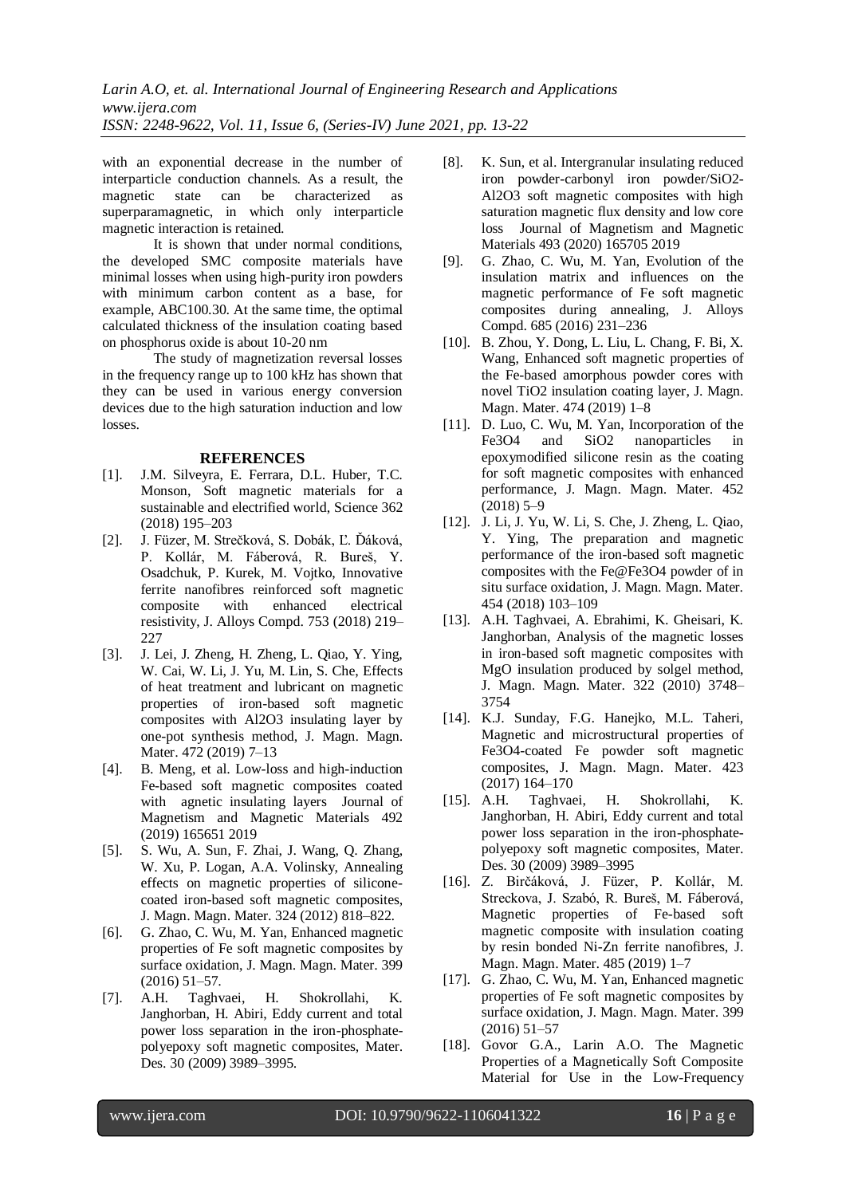with an exponential decrease in the number of interparticle conduction channels. As a result, the magnetic state can be characterized as superparamagnetic, in which only interparticle magnetic interaction is retained.

It is shown that under normal conditions, the developed SMC composite materials have minimal losses when using high-purity iron powders with minimum carbon content as a base, for example, ABC100.30. At the same time, the optimal calculated thickness of the insulation coating based on phosphorus oxide is about 10-20 nm

The study of magnetization reversal losses in the frequency range up to 100 kHz has shown that they can be used in various energy conversion devices due to the high saturation induction and low losses.

#### **REFERENCES**

- [1]. J.M. Silveyra, E. Ferrara, D.L. Huber, T.C. Monson, Soft magnetic materials for a sustainable and electrified world, Science 362 (2018) 195–203
- [2]. J. Füzer, M. Strečková, S. Dobák, Ľ. Ďáková, P. Kollár, M. Fáberová, R. Bureš, Y. Osadchuk, P. Kurek, M. Vojtko, Innovative ferrite nanofibres reinforced soft magnetic composite with enhanced electrical resistivity, J. Alloys Compd. 753 (2018) 219– 227
- [3]. J. Lei, J. Zheng, H. Zheng, L. Qiao, Y. Ying, W. Cai, W. Li, J. Yu, M. Lin, S. Che, Effects of heat treatment and lubricant on magnetic properties of iron-based soft magnetic composites with Al2O3 insulating layer by one-pot synthesis method, J. Magn. Magn. Mater. 472 (2019) 7–13
- [4]. B. Meng, et al. Low-loss and high-induction Fe-based soft magnetic composites coated with agnetic insulating layers Journal of Magnetism and Magnetic Materials 492 (2019) 165651 2019
- [5]. S. Wu, A. Sun, F. Zhai, J. Wang, Q. Zhang, W. Xu, P. Logan, A.A. Volinsky, Annealing effects on magnetic properties of siliconecoated iron-based soft magnetic composites, J. Magn. Magn. Mater. 324 (2012) 818–822.
- [6]. G. Zhao, C. Wu, M. Yan, Enhanced magnetic properties of Fe soft magnetic composites by surface oxidation, J. Magn. Magn. Mater. 399 (2016) 51–57.
- [7]. A.H. Taghvaei, H. Shokrollahi, K. Janghorban, H. Abiri, Eddy current and total power loss separation in the iron-phosphatepolyepoxy soft magnetic composites, Mater. Des. 30 (2009) 3989–3995.
- [8]. K. Sun, et al. Intergranular insulating reduced iron powder-carbonyl iron powder/SiO2- Al2O3 soft magnetic composites with high saturation magnetic flux density and low core loss Journal of Magnetism and Magnetic Materials 493 (2020) 165705 2019
- [9]. G. Zhao, C. Wu, M. Yan, Evolution of the insulation matrix and influences on the magnetic performance of Fe soft magnetic composites during annealing, J. Alloys Compd. 685 (2016) 231–236
- [10]. B. Zhou, Y. Dong, L. Liu, L. Chang, F. Bi, X. Wang, Enhanced soft magnetic properties of the Fe-based amorphous powder cores with novel TiO2 insulation coating layer, J. Magn. Magn. Mater. 474 (2019) 1–8
- [11]. D. Luo, C. Wu, M. Yan, Incorporation of the Fe3O4 and SiO2 nanoparticles in epoxymodified silicone resin as the coating for soft magnetic composites with enhanced performance, J. Magn. Magn. Mater. 452 (2018) 5–9
- [12]. J. Li, J. Yu, W. Li, S. Che, J. Zheng, L. Qiao, Y. Ying, The preparation and magnetic performance of the iron-based soft magnetic composites with the Fe@Fe3O4 powder of in situ surface oxidation, J. Magn. Magn. Mater. 454 (2018) 103–109
- [13]. A.H. Taghvaei, A. Ebrahimi, K. Gheisari, K. Janghorban, Analysis of the magnetic losses in iron-based soft magnetic composites with MgO insulation produced by solgel method, J. Magn. Magn. Mater. 322 (2010) 3748– 3754
- [14]. K.J. Sunday, F.G. Hanejko, M.L. Taheri, Magnetic and microstructural properties of Fe3O4-coated Fe powder soft magnetic composites, J. Magn. Magn. Mater. 423 (2017) 164–170
- [15]. A.H. Taghvaei, H. Shokrollahi, K. Janghorban, H. Abiri, Eddy current and total power loss separation in the iron-phosphatepolyepoxy soft magnetic composites, Mater. Des. 30 (2009) 3989–3995
- [16]. Z. Birčáková, J. Füzer, P. Kollár, M. Streckova, J. Szabó, R. Bureš, M. Fáberová, Magnetic properties of Fe-based soft magnetic composite with insulation coating by resin bonded Ni-Zn ferrite nanofibres, J. Magn. Magn. Mater. 485 (2019) 1–7
- [17]. G. Zhao, C. Wu, M. Yan, Enhanced magnetic properties of Fe soft magnetic composites by surface oxidation, J. Magn. Magn. Mater. 399 (2016) 51–57
- [18]. Govor G.A., Larin A.O. The Magnetic Properties of a Magnetically Soft Composite Material for Use in the Low-Frequency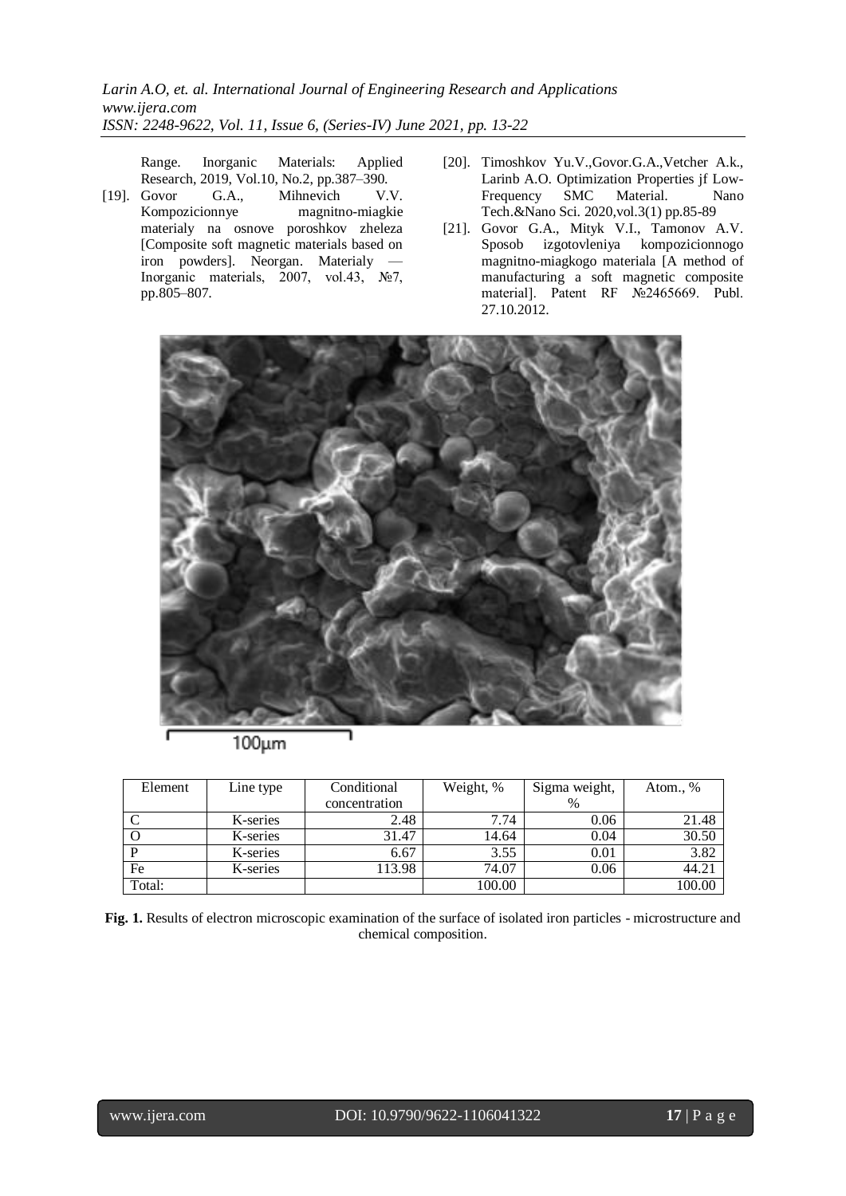Range. Inorganic Materials: Applied Research, 2019, Vol.10, No.2, pp.387–390.

- [19]. Govor G.A., Mihnevich V.V. Kompozicionnye magnitno-miagkie materialy na osnove poroshkov zheleza [Composite soft magnetic materials based on iron powders]. Neorgan. Materialy — Inorganic materials, 2007, vol.43, №7, pp.805–807.
- [20]. Timoshkov Yu.V.,Govor.G.A.,Vetcher A.k., Larinb A.O. Optimization Properties jf Low-Frequency SMC Material. Nano Tech.&Nano Sci. 2020,vol.3(1) pp.85-89
- [21]. Govor G.A., Mityk V.I., Tamonov A.V. Sposob izgotovleniya kompozicionnogo magnitno-miagkogo materiala [A method of manufacturing a soft magnetic composite material]. Patent RF №2465669. Publ. 27.10.2012.



 $100 \mu m$ 

| Element | Line type | Conditional   | Weight, % | Sigma weight, | Atom., % |
|---------|-----------|---------------|-----------|---------------|----------|
|         |           | concentration |           |               |          |
|         | K-series  | 2.48          | 7.74      | 0.06          | 21.48    |
| O       | K-series  | 31.47         | 14.64     | 0.04          | 30.50    |
|         | K-series  | 6.67          | 3.55      | 0.01          | 3.82     |
| Fe      | K-series  | 113.98        | 74.07     | 0.06          | 44.21    |
| Total:  |           |               | 100.00    |               | 100.00   |

**Fig. 1.** Results of electron microscopic examination of the surface of isolated iron particles - microstructure and chemical composition.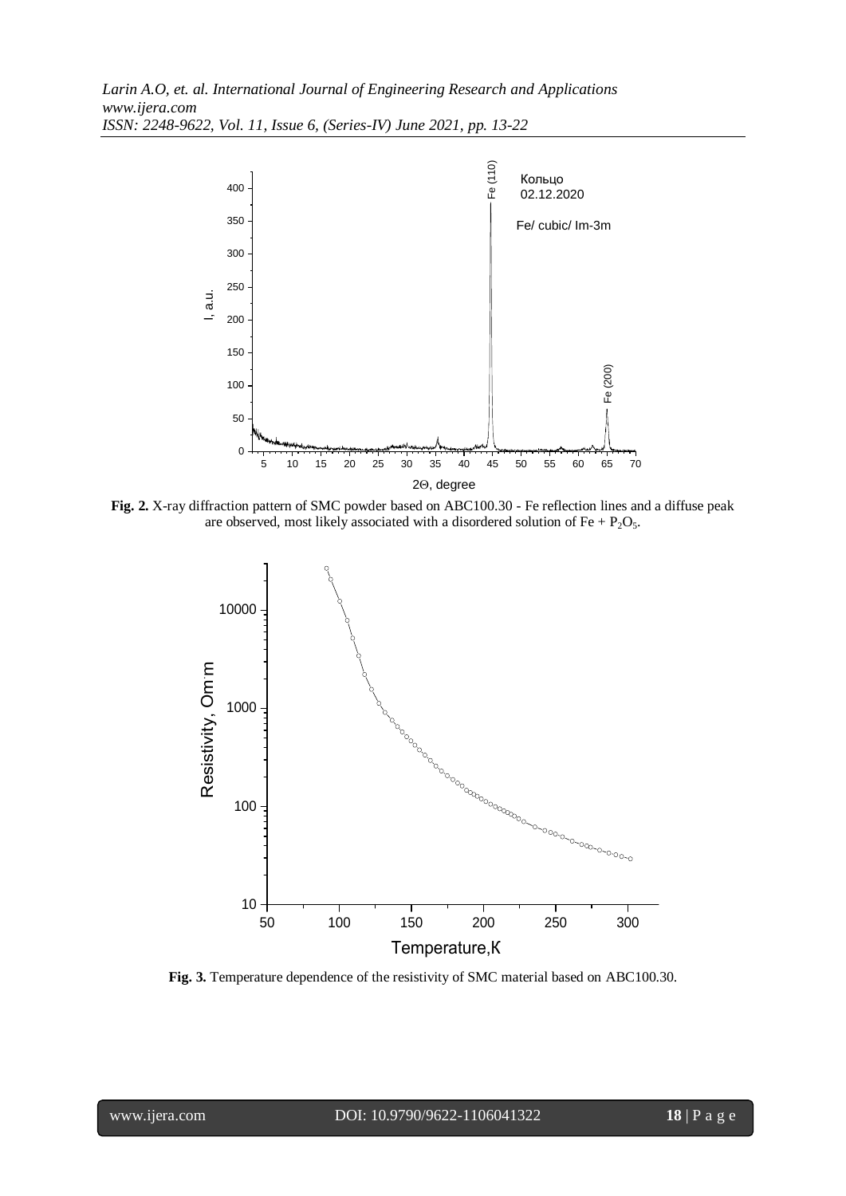

**Fig. 2.** X-ray diffraction pattern of SMC powder based on ABC100.30 - Fe reflection lines and a diffuse peak are observed, most likely associated with a disordered solution of  $Fe + P_2O_5$ .



**Fig. 3.** Temperature dependence of the resistivity of SMC material based on ABC100.30.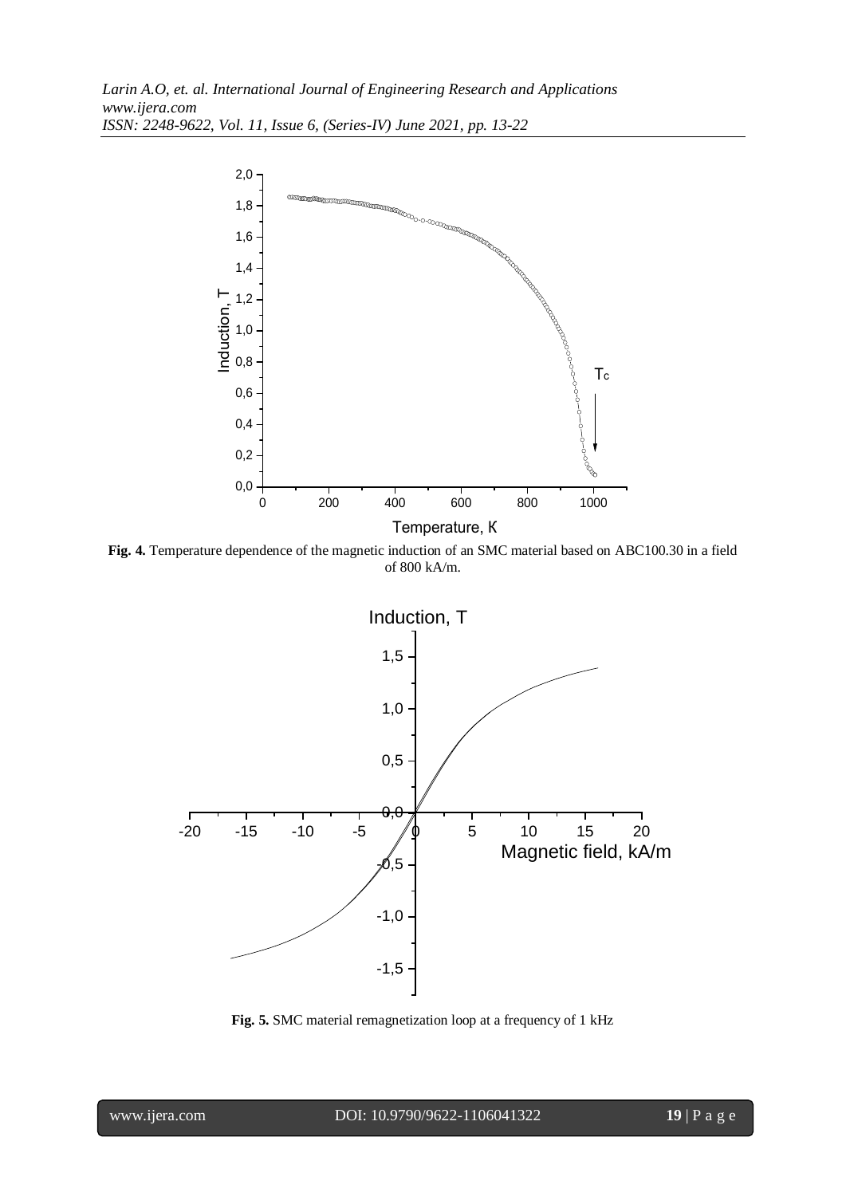

**Fig. 4.** Temperature dependence of the magnetic induction of an SMC material based on ABC100.30 in a field of 800 kA/m.



**Fig. 5.** SMC material remagnetization loop at a frequency of 1 kHz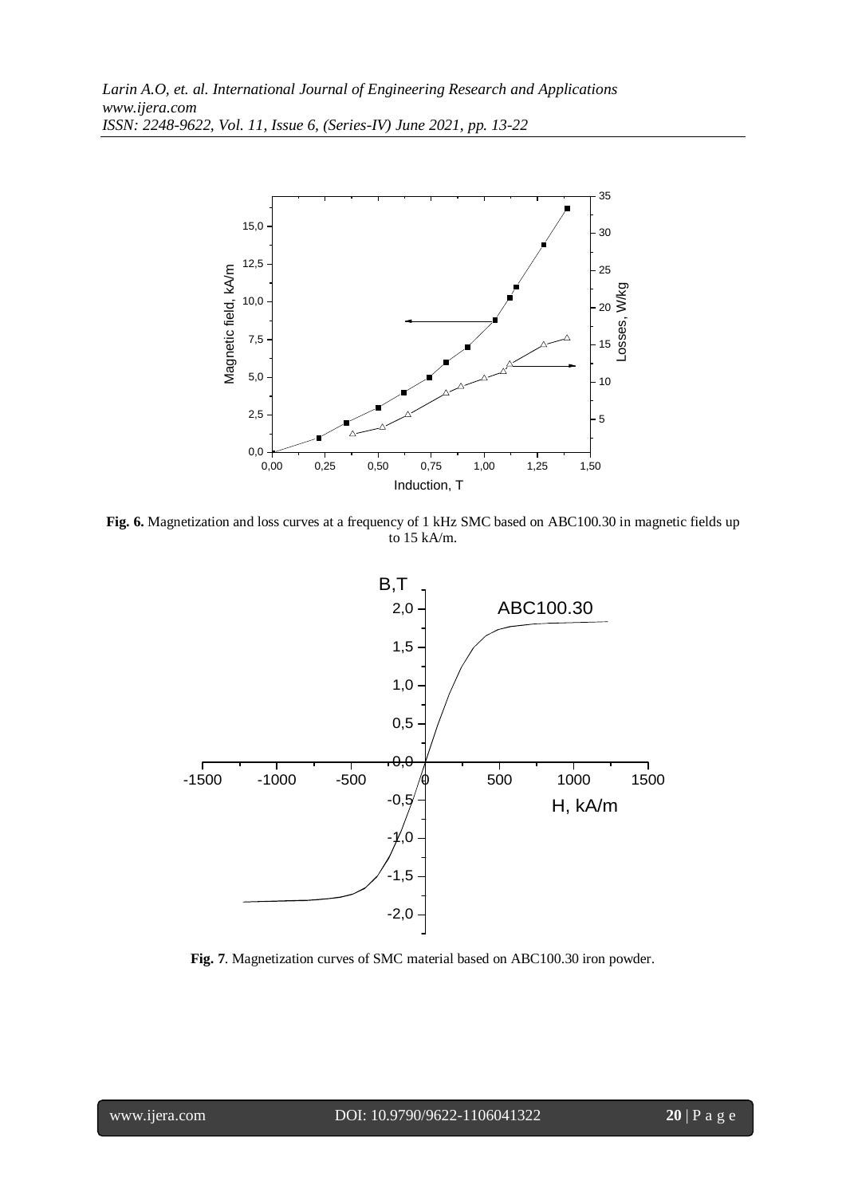

**Fig. 6.** Magnetization and loss curves at a frequency of 1 kHz SMC based on ABC100.30 in magnetic fields up to 15 kA/m.



**Fig. 7**. Magnetization curves of SMC material based on ABC100.30 iron powder.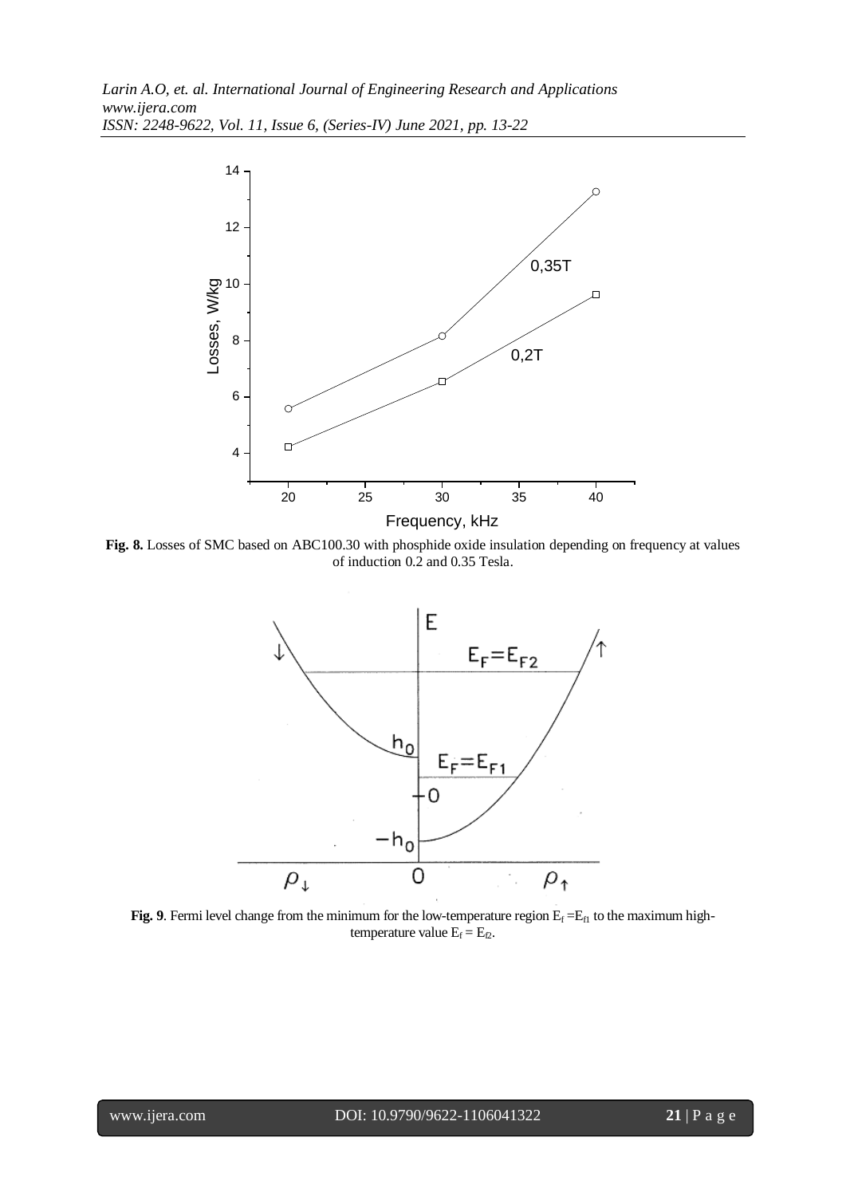

**Fig. 8.** Losses of SMC based on ABC100.30 with phosphide oxide insulation depending on frequency at values of induction 0.2 and 0.35 Tesla.



**Fig. 9**. Fermi level change from the minimum for the low-temperature region  $E_f = E_f$  to the maximum hightemperature value  $E_f = E_{f2}$ .